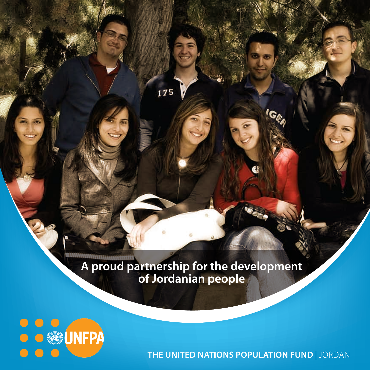A proud partnership for the development<br>of Jordanian people

175

**S @ UNFPA** 

THE UNITED NATIONS POPULATION FUND | JORDAN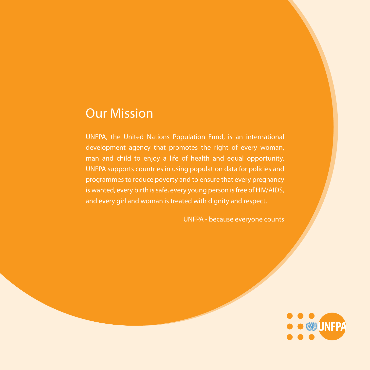## Our Mission

UNFPA, the United Nations Population Fund, is an international development agency that promotes the right of every woman, man and child to enjoy a life of health and equal opportunity. UNFPA supports countries in using population data for policies and programmes to reduce poverty and to ensure that every pregnancy is wanted, every birth is safe, every young person is free of HIV/AIDS, and every girl and woman is treated with dignity and respect.

UNFPA - because everyone counts

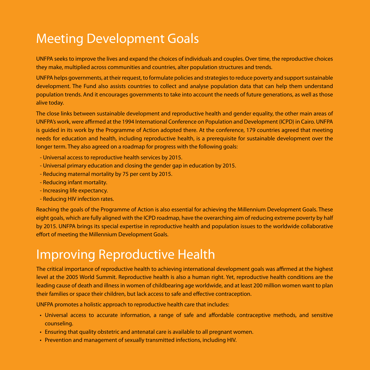# Meeting Development Goals

UNFPA seeks to improve the lives and expand the choices of individuals and couples. Over time, the reproductive choices they make, multiplied across communities and countries, alter population structures and trends.

UNFPA helps governments, at their request, to formulate policies and strategies to reduce poverty and support sustainable development. The Fund also assists countries to collect and analyse population data that can help them understand population trends. And it encourages governments to take into account the needs of future generations, as well as those alive today.

The close links between sustainable development and reproductive health and gender equality, the other main areas of UNFPA's work, were affirmed at the 1994 International Conference on Population and Development (ICPD) in Cairo. UNFPA is guided in its work by the Programme of Action adopted there. At the conference, 179 countries agreed that meeting needs for education and health, including reproductive health, is a prerequisite for sustainable development over the longer term. They also agreed on a roadmap for progress with the following goals:

- Universal access to reproductive health services by 2015.
- Universal primary education and closing the gender gap in education by 2015.
- Reducing maternal mortality by 75 per cent by 2015.
- Reducing infant mortality.
- Increasing life expectancy.
- Reducing HIV infection rates.

Reaching the goals of the Programme of Action is also essential for achieving the Millennium Development Goals. These eight goals, which are fully aligned with the ICPD roadmap, have the overarching aim of reducing extreme poverty by half by 2015. UNFPA brings its special expertise in reproductive health and population issues to the worldwide collaborative effort of meeting the Millennium Development Goals.

## Improving Reproductive Health

The critical importance of reproductive health to achieving international development goals was affirmed at the highest level at the 2005 World Summit. Reproductive health is also a human right. Yet, reproductive health conditions are the leading cause of death and illness in women of childbearing age worldwide, and at least 200 million women want to plan their families or space their children, but lack access to safe and effective contraception.

UNFPA promotes a holistic approach to reproductive health care that includes:

- • Universal access to accurate information, a range of safe and affordable contraceptive methods, and sensitive counseling.
- • Ensuring that quality obstetric and antenatal care is available to all pregnant women.
- • Prevention and management of sexually transmitted infections, including HIV.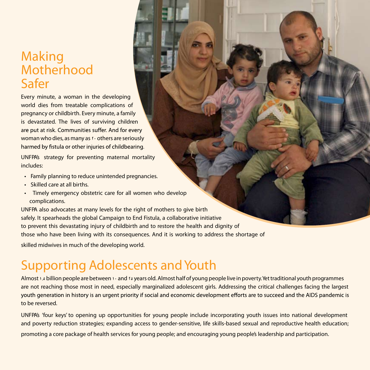## Making **Motherhood** Safer

Every minute, a woman in the developing world dies from treatable complications of pregnancy or childbirth. Every minute, a family is devastated. The lives of surviving children are put at risk. Communities suffer. And for every woman who dies, as many as  $\mathfrak{r}$  others are seriously harmed by fistula or other injuries of childbearing.

UNFPA's strategy for preventing maternal mortality includes:

- Family planning to reduce unintended pregnancies.
- Skilled care at all births.
- Timely emergency obstetric care for all women who develop complications.

UNFPA also advocates at many levels for the right of mothers to give birth safely. It spearheads the global Campaign to End Fistula, a collaborative initiative to prevent this devastating injury of childbirth and to restore the health and dignity of those who have been living with its consequences. And it is working to address the shortage of

skilled midwives in much of the developing world.

# Supporting Adolescents and Youth

Almost 1.0 billion people are between 1 and 10 years old. Almost half of young people live in poverty. Yet traditional youth programmes are not reaching those most in need, especially marginalized adolescent girls. Addressing the critical challenges facing the largest youth generation in history is an urgent priority if social and economic development efforts are to succeed and the AIDS pandemic is to be reversed.

UNFPA's 'four keys' to opening up opportunities for young people include incorporating youth issues into national development and poverty reduction strategies; expanding access to gender-sensitive, life skills-based sexual and reproductive health education; promoting a core package of health services for young people; and encouraging young people's leadership and participation.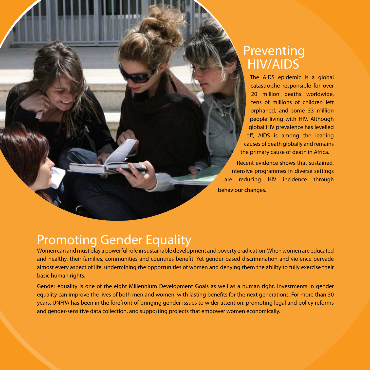

## **Preventing** HIV/AIDS

The AIDS epidemic is a global catastrophe responsible for over 20 million deaths worldwide, tens of millions of children left orphaned, and some 33 million people living with HIV. Although global HIV prevalence has levelled off, AIDS is among the leading causes of death globally and remains the primary cause of death in Africa.

Recent evidence shows that sustained, intensive programmes in diverse settings are reducing HIV incidence through behaviour changes.

## Promoting Gender Equality

Women can and must play a powerful role in sustainable development and poverty eradication. When women are educated and healthy, their families, communities and countries benefit. Yet gender-based discrimination and violence pervade almost every aspect of life, undermining the opportunities of women and denying them the ability to fully exercise their basic human rights.

Gender equality is one of the eight Millennium Development Goals as well as a human right. Investments in gender equality can improve the lives of both men and women, with lasting benefits for the next generations. For more than 30 years, UNFPA has been in the forefront of bringing gender issues to wider attention, promoting legal and policy reforms and gender-sensitive data collection, and supporting projects that empower women economically.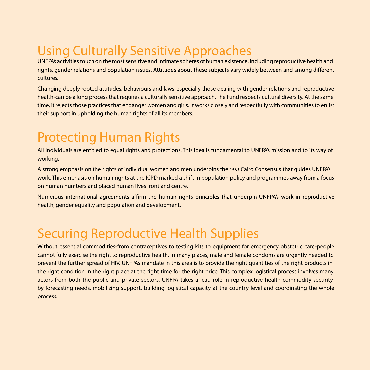# Using Culturally Sensitive Approaches

UNFPA's activities touch on the most sensitive and intimate spheres of human existence, including reproductive health and rights, gender relations and population issues. Attitudes about these subjects vary widely between and among different cultures.

Changing deeply rooted attitudes, behaviours and laws-especially those dealing with gender relations and reproductive health-can be a long processthat requires a culturally sensitive approach.The Fund respects cultural diversity. At the same time, it rejects those practices that endanger women and girls. It works closely and respectfully with communities to enlist their support in upholding the human rights of all its members.

# Protecting Human Rights

All individuals are entitled to equal rights and protections. This idea is fundamental to UNFPA's mission and to its way of working.

A strong emphasis on the rights of individual women and men underpins the 1994 Cairo Consensus that guides UNFPA's work. This emphasis on human rights at the ICPD marked a shift in population policy and programmes away from a focus on human numbers and placed human lives front and centre.

Numerous international agreements affirm the human rights principles that underpin UNFPA's work in reproductive health, gender equality and population and development.

# Securing Reproductive Health Supplies

Without essential commodities-from contraceptives to testing kits to equipment for emergency obstetric care-people cannot fully exercise the right to reproductive health. In many places, male and female condoms are urgently needed to prevent the further spread of HIV. UNFPA's mandate in this area is to provide the right quantities of the right products in the right condition in the right place at the right time for the right price. This complex logistical process involves many actors from both the public and private sectors. UNFPA takes a lead role in reproductive health commodity security, by forecasting needs, mobilizing support, building logistical capacity at the country level and coordinating the whole process.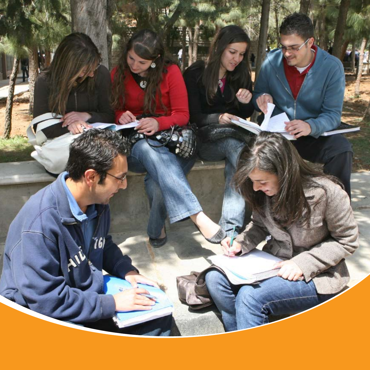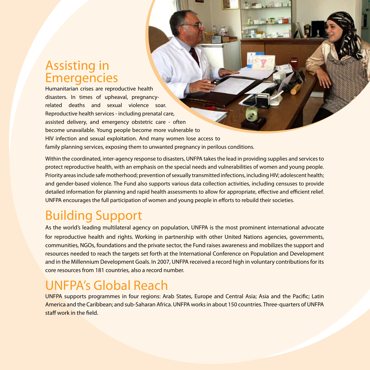### Assisting in **Emergencies**

Humanitarian crises are reproductive health disasters. In times of upheaval, pregnancyrelated deaths and sexual violence soar. Reproductive health services - including prenatal care, assisted delivery, and emergency obstetric care - often become unavailable. Young people become more vulnerable to HIV infection and sexual exploitation. And many women lose access to family planning services, exposing them to unwanted pregnancy in perilous conditions.

Within the coordinated, inter-agency response to disasters, UNFPA takes the lead in providing supplies and services to protect reproductive health, with an emphasis on the special needs and vulnerabilities of women and young people. Priority areas include safe motherhood; prevention of sexually transmitted infections, including HIV; adolescent health; and gender-based violence. The Fund also supports various data collection activities, including censuses to provide detailed information for planning and rapid health assessments to allow for appropriate, effective and efficient relief. UNFPA encourages the full participation of women and young people in efforts to rebuild their societies.

# Building Support

As the world's leading multilateral agency on population, UNFPA is the most prominent international advocate for reproductive health and rights. Working in partnership with other United Nations agencies, governments, communities, NGOs, foundations and the private sector, the Fund raises awareness and mobilizes the support and resources needed to reach the targets set forth at the International Conference on Population and Development and in the Millennium Development Goals. In 2007, UNFPA received a record high in voluntary contributions for its core resources from 181 countries, also a record number.

# UNFPA's Global Reach

UNFPA supports programmes in four regions: Arab States, Europe and Central Asia; Asia and the Pacific; Latin America and the Caribbean; and sub-Saharan Africa. UNFPA works in about 150 countries. Three-quarters of UNFPA staff work in the field.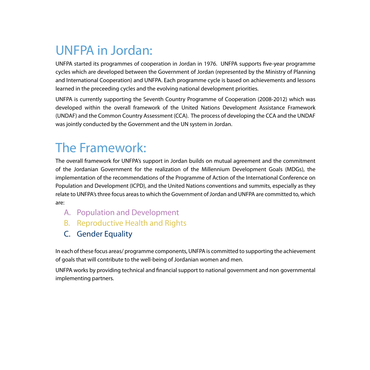# UNFPA in Jordan:

UNFPA started its programmes of cooperation in Jordan in 1976. UNFPA supports five-year programme cycles which are developed between the Government of Jordan (represented by the Ministry of Planning and International Cooperation) and UNFPA. Each programme cycle is based on achievements and lessons learned in the preceeding cycles and the evolving national development priorities.

UNFPA is currently supporting the Seventh Country Programme of Cooperation (2008-2012) which was developed within the overall framework of the United Nations Development Assistance Framework (UNDAF) and the Common Country Assessment (CCA). The process of developing the CCA and the UNDAF was jointly conducted by the Government and the UN system in Jordan.

# The Framework:

The overall framework for UNFPA's support in Jordan builds on mutual agreement and the commitment of the Jordanian Government for the realization of the Millennium Development Goals (MDGs), the implementation of the recommendations of the Programme of Action of the International Conference on Population and Development (ICPD), and the United Nations conventions and summits, especially as they relate to UNFPA's three focus areas to which the Government of Jordan and UNFPA are committed to, which are:

- A. Population and Development
- B. Reproductive Health and Rights
- C. Gender Equality

In each of these focus areas/ programme components, UNFPA is committed to supporting the achievement of goals that will contribute to the well-being of Jordanian women and men.

UNFPA works by providing technical and financial support to national government and non governmental implementing partners.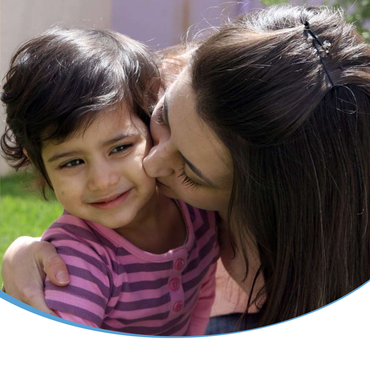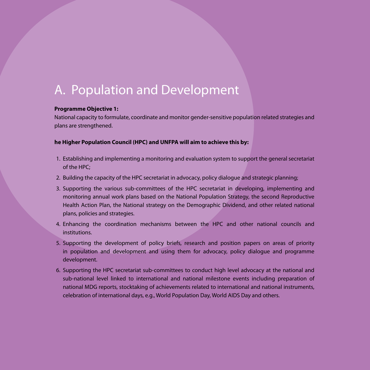## A. Population and Development

#### **Programme Objective 1:**

National capacity to formulate, coordinate and monitor gender-sensitive population related strategies and plans are strengthened.

#### **he Higher Population Council (HPC) and UNFPA will aim to achieve this by:**

- 1. Establishing and implementing a monitoring and evaluation system to support the general secretariat of the HPC;
- 2. Building the capacity of the HPC secretariat in advocacy, policy dialogue and strategic planning;
- 3. Supporting the various sub-committees of the HPC secretariat in developing, implementing and monitoring annual work plans based on the National Population Strategy, the second Reproductive Health Action Plan, the National strategy on the Demographic Dividend, and other related national plans, policies and strategies.
- 4. Enhancing the coordination mechanisms between the HPC and other national councils and institutions.
- 5. Supporting the development of policy briefs, research and position papers on areas of priority in population and development and using them for advocacy, policy dialogue and programme development.
- 6. Supporting the HPC secretariat sub-committees to conduct high level advocacy at the national and sub-national level linked to international and national milestone events including preparation of national MDG reports, stocktaking of achievements related to international and national instruments, celebration of international days, e.g., World Population Day, World AIDS Day and others.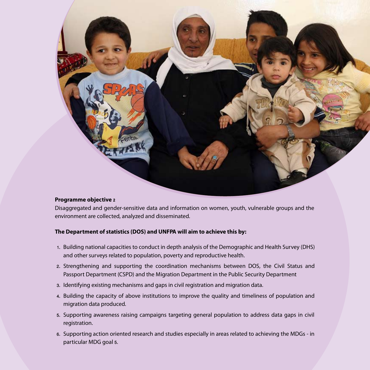

#### **Programme objective 2**

Disaggregated and gender-sensitive data and information on women, youth, vulnerable groups and the environment are collected, analyzed and disseminated.

### **The Department of statistics (DOS) and UNFPA will aim to achieve this by:**

- 1. Building national capacities to conduct in depth analysis of the Demographic and Health Survey (DHS) and other surveys related to population, poverty and reproductive health.
- 2. Strengthening and supporting the coordination mechanisms between DOS, the Civil Status and Passport Department (CSPD) and the Migration Department in the Public Security Department
- 3. Identifying existing mechanisms and gaps in civil registration and migration data.
- 4. Building the capacity of above institutions to improve the quality and timeliness of population and migration data produced.
- 5. Supporting awareness raising campaigns targeting general population to address data gaps in civil registration.
- 6. Supporting action oriented research and studies especially in areas related to achieving the MDGs in particular MDG goal 5.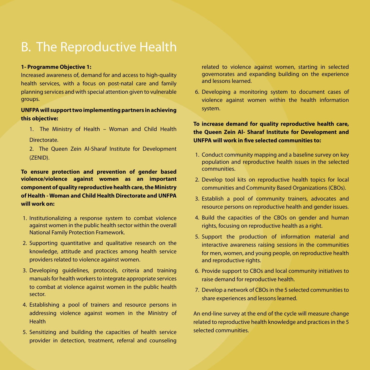## B. The Reproductive Health

#### **1- Programme Objective 1:**

Increased awareness of, demand for and access to high-quality health services, with a focus on post-natal care and family planning services and with special attention given to vulnerable groups.

### **UNFPA will support two implementing partners in achieving this objective:**

- 1. The Ministry of Health Woman and Child Health **Directorate**
- 2. The Queen Zein Al-Sharaf Institute for Development (ZENID).

**To ensure protection and prevention of gender based violence/violence against women as an important component of quality reproductive health care, the Ministry of Health - Woman and Child Health Directorate and UNFPA will work on:**

- 1. Institutionalizing a response system to combat violence against women in the public health sector within the overall National Family Protection Framework.
- 2. Supporting quantitative and qualitative research on the knowledge, attitude and practices among health service providers related to violence against women.
- 3. Developing guidelines, protocols, criteria and training manuals for health workers to integrate appropriate services to combat at violence against women in the public health sector.
- 4. Establishing a pool of trainers and resource persons in addressing violence against women in the Ministry of Health
- 5. Sensitizing and building the capacities of health service provider in detection, treatment, referral and counseling

related to violence against women, starting in selected governorates and expanding building on the experience and lessons learned.

6. Developing a monitoring system to document cases of violence against women within the health information system.

### **To increase demand for quality reproductive health care, the Queen Zein Al- Sharaf Institute for Development and UNFPA will work in five selected communities to:**

- 1. Conduct community mapping and a baseline survey on key population and reproductive health issues in the selected communities.
- 2. Develop tool kits on reproductive health topics for local communities and Community Based Organizations (CBOs).
- 3. Establish a pool of community trainers, advocates and resource persons on reproductive health and gender issues.
- 4. Build the capacities of the CBOs on gender and human rights, focusing on reproductive health as a right.
- 5. Support the production of information material and interactive awareness raising sessions in the communities for men, women, and young people, on reproductive health and reproductive rights.
- 6. Provide support to CBOs and local community initiatives to raise demand for reproductive health.
- 7. Develop a network of CBOs in the 5 selected communities to share experiences and lessons learned.

An end-line survey at the end of the cycle will measure change related to reproductive health knowledge and practices in the 5 selected communities.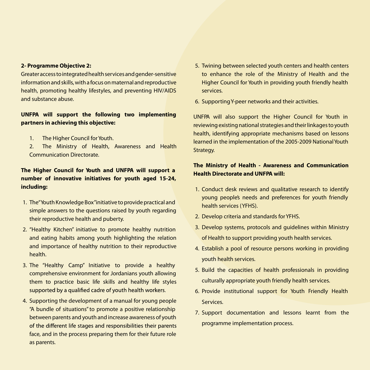#### **2- Programme Objective 2:**

Greater access to integrated health services and gender-sensitive information and skills, with a focus on maternal and reproductive health, promoting healthy lifestyles, and preventing HIV/AIDS and substance abuse.

### **UNFPA will support the following two implementing partners in achieving this objective:**

- 1. The Higher Council for Youth.
- 2. The Ministry of Health, Awareness and Health Communication Directorate.

### **The Higher Council for Youth and UNFPA will support a number of innovative initiatives for youth aged 15-24, including:**

- 1. The "Youth Knowledge Box" initiative to provide practical and simple answers to the questions raised by youth regarding their reproductive health and puberty.
- 2. "Healthy Kitchen" initiative to promote healthy nutrition and eating habits among youth highlighting the relation and importance of healthy nutrition to their reproductive health.
- 3. The "Healthy Camp" Initiative to provide a healthy comprehensive environment for Jordanians youth allowing them to practice basic life skills and healthy life styles supported by a qualified cadre of youth health workers.
- 4. Supporting the development of a manual for young people "A bundle of situations"to promote a positive relationship between parents and youth and increase awareness of youth of the different life stages and responsibilities their parents face, and in the process preparing them for their future role as parents.
- 5. Twining between selected youth centers and health centers to enhance the role of the Ministry of Health and the Higher Council for Youth in providing youth friendly health services.
- 6. SupportingY-peer networks and their activities.

UNFPA will also support the Higher Council for Youth in reviewing existing national strategies and their linkages to youth health, identifying appropriate mechanisms based on lessons learned in the implementation of the 2005-2009 National Youth Strategy.

### **The Ministry of Health - Awareness and Communication Health Directorate and UNFPA will:**

- 1. Conduct desk reviews and qualitative research to identify young people's needs and preferences for youth friendly health services (YFHS).
- 2. Develop criteria and standards forYFHS.
- 3. Develop systems, protocols and guidelines within Ministry of Health to support providing youth health services.
- 4. Establish a pool of resource persons working in providing youth health services.
- 5. Build the capacities of health professionals in providing culturally appropriate youth friendly health services.
- 6. Provide institutional support for Youth Friendly Health Services.
- 7. Support documentation and lessons learnt from the programme implementation process.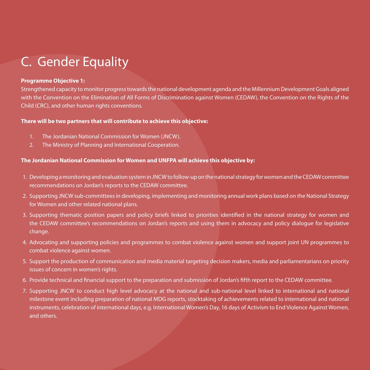# C. Gender Equality

### **Programme Objective 1:**

Strengthened capacity to monitor progress towards the national development agenda and the Millennium Development Goals aligned with the Convention on the Elimination of All Forms of Discrimination against Women (CEDAW), the Convention on the Rights of the Child (CRC), and other human rights conventions.

### **There will be two partners that will contribute to achieve this objective:**

- 1. The Jordanian National Commission for Women (JNCW).
- 2. The Ministry of Planning and International Cooperation.

### **The Jordanian National Commission for Women and UNFPA will achieve this objective by:**

- 1. Developing a monitoring and evaluation system in JNCW to follow-up on the national strategy for women and the CEDAW committee recommendations on Jordan's reports to the CEDAW committee.
- 2. Supporting JNCW sub-committees in developing, implementing and monitoring annual work plans based on the National Strategy for Women and other related national plans.
- 3. Supporting thematic position papers and policy briefs linked to priorities identified in the national strategy for women and the CEDAW committee's recommendations on Jordan's reports and using them in advocacy and policy dialogue for legislative change.
- 4. Advocating and supporting policies and programmes to combat violence against women and support joint UN programmes to combat violence against women.
- 5. Support the production of communication and media material targeting decision makers, media and parliamentarians on priority issues of concern in women's rights.
- 6. Provide technical and financial support to the preparation and submission of Jordan's fifth report to the CEDAW committee.
- 7. Supporting JNCW to conduct high level advocacy at the national and sub-national level linked to international and national milestone event including preparation of national MDG reports, stocktaking of achievements related to international and national instruments, celebration of international days, e.g. International Women's Day, 16 days of Activism to End Violence Against Women, and others.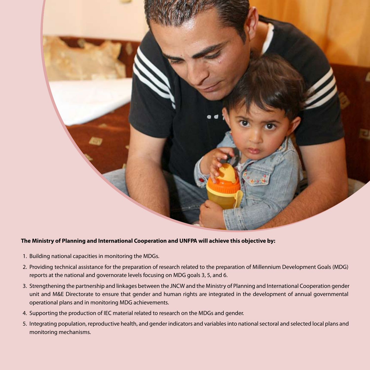

### **The Ministry of Planning and International Cooperation and UNFPA will achieve this objective by:**

- 1. Building national capacities in monitoring the MDGs.
- 2. Providing technical assistance for the preparation of research related to the preparation of Millennium Development Goals (MDG) reports at the national and governorate levels focusing on MDG goals 3, 5, and 6.
- 3. Strengthening the partnership and linkages between the JNCW and the Ministry of Planning and International Cooperation gender unit and M&E Directorate to ensure that gender and human rights are integrated in the development of annual governmental operational plans and in monitoring MDG achievements.
- 4. Supporting the production of IEC material related to research on the MDGs and gender.
- 5. Integrating population, reproductive health, and gender indicators and variablesinto nationalsectoral and selected local plans and monitoring mechanisms.